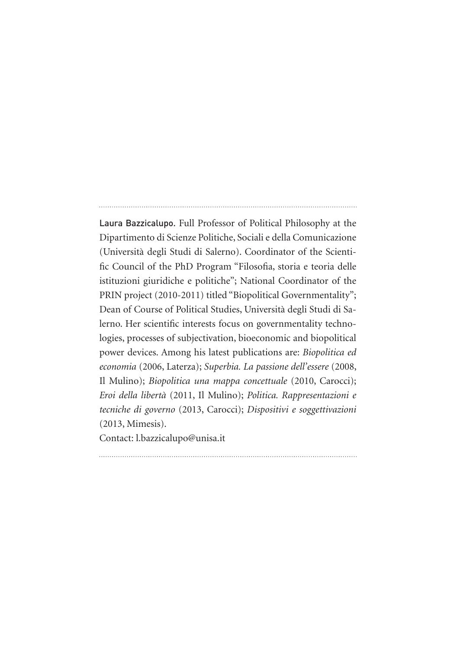Laura Bazzicalupo. Full Professor of Political Philosophy at the Dipartimento di Scienze Politiche, Sociali e della Comunicazione (Università degli Studi di Salerno). Coordinator of the Scientific Council of the PhD Program "Filosofia, storia e teoria delle istituzioni giuridiche e politiche"; National Coordinator of the PRIN project (2010-2011) titled "Biopolitical Governmentality"; Dean of Course of Political Studies, Università degli Studi di Salerno. Her scientific interests focus on governmentality technologies, processes of subjectivation, bioeconomic and biopolitical power devices. Among his latest publications are: *Biopolitica ed economia* (2006, Laterza); *Superbia. La passione dell'essere* (2008, Il Mulino); *Biopolitica una mappa concettuale* (2010, Carocci); *Eroi della libertà* (2011, Il Mulino); *Politica. Rappresentazioni e tecniche di governo* (2013, Carocci); *Dispositivi e soggettivazioni* (2013, Mimesis).

Contact: l.bazzicalupo@unisa.it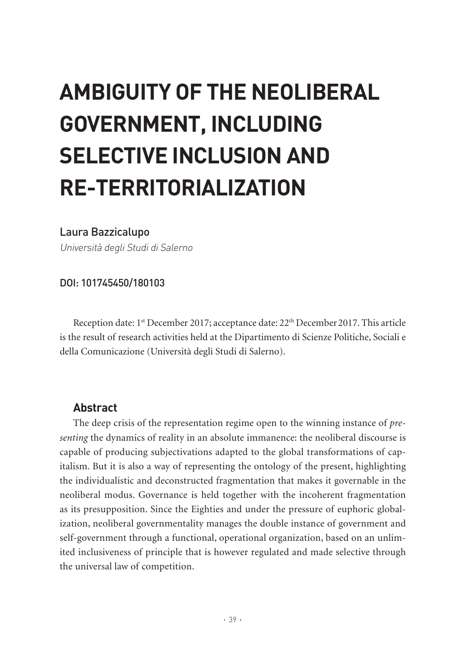# **AMBIGUITY OF THE NEOLIBERAL GOVERNMENT, INCLUDING SELECTIVE INCLUSION AND RE-TERRITORIALIZATION**

## Laura Bazzicalupo

Università degli Studi di Salerno

## DOI: 101745450/180103

Reception date: 1<sup>st</sup> December 2017; acceptance date: 22<sup>th</sup> December 2017. This article is the result of research activities held at the Dipartimento di Scienze Politiche, Sociali e della Comunicazione (Università degli Studi di Salerno).

## **Abstract**

The deep crisis of the representation regime open to the winning instance of *presenting* the dynamics of reality in an absolute immanence: the neoliberal discourse is capable of producing subjectivations adapted to the global transformations of capitalism. But it is also a way of representing the ontology of the present, highlighting the individualistic and deconstructed fragmentation that makes it governable in the neoliberal modus. Governance is held together with the incoherent fragmentation as its presupposition. Since the Eighties and under the pressure of euphoric globalization, neoliberal governmentality manages the double instance of government and self-government through a functional, operational organization, based on an unlimited inclusiveness of principle that is however regulated and made selective through the universal law of competition.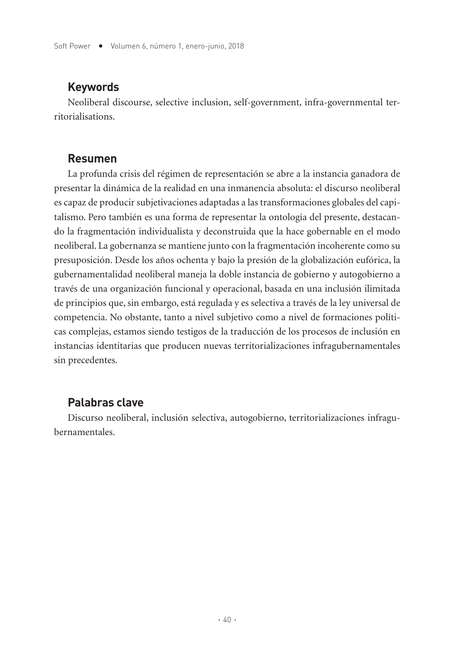## **Keywords**

Neoliberal discourse, selective inclusion, self-government, infra-governmental territorialisations.

## **Resumen**

La profunda crisis del régimen de representación se abre a la instancia ganadora de presentar la dinámica de la realidad en una inmanencia absoluta: el discurso neoliberal es capaz de producir subjetivaciones adaptadas a las transformaciones globales del capitalismo. Pero también es una forma de representar la ontología del presente, destacando la fragmentación individualista y deconstruida que la hace gobernable en el modo neoliberal. La gobernanza se mantiene junto con la fragmentación incoherente como su presuposición. Desde los años ochenta y bajo la presión de la globalización eufórica, la gubernamentalidad neoliberal maneja la doble instancia de gobierno y autogobierno a través de una organización funcional y operacional, basada en una inclusión ilimitada de principios que, sin embargo, está regulada y es selectiva a través de la ley universal de competencia. No obstante, tanto a nivel subjetivo como a nivel de formaciones políticas complejas, estamos siendo testigos de la traducción de los procesos de inclusión en instancias identitarias que producen nuevas territorializaciones infragubernamentales sin precedentes.

# **Palabras clave**

Discurso neoliberal, inclusión selectiva, autogobierno, territorializaciones infragubernamentales.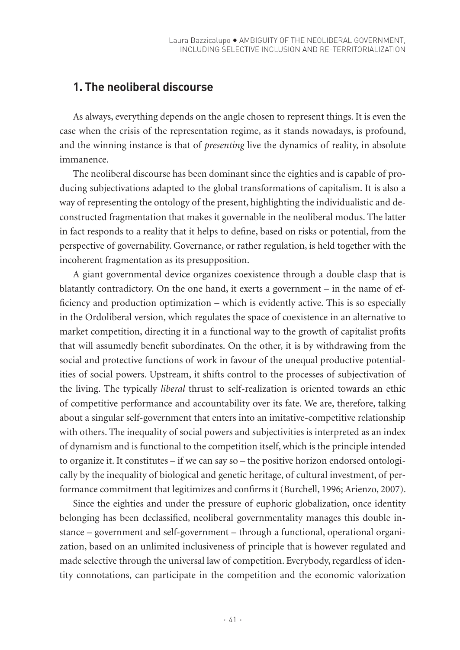## **1. The neoliberal discourse**

As always, everything depends on the angle chosen to represent things. It is even the case when the crisis of the representation regime, as it stands nowadays, is profound, and the winning instance is that of *presenting* live the dynamics of reality, in absolute immanence.

The neoliberal discourse has been dominant since the eighties and is capable of producing subjectivations adapted to the global transformations of capitalism. It is also a way of representing the ontology of the present, highlighting the individualistic and deconstructed fragmentation that makes it governable in the neoliberal modus. The latter in fact responds to a reality that it helps to define, based on risks or potential, from the perspective of governability. Governance, or rather regulation, is held together with the incoherent fragmentation as its presupposition.

A giant governmental device organizes coexistence through a double clasp that is blatantly contradictory. On the one hand, it exerts a government – in the name of efficiency and production optimization – which is evidently active. This is so especially in the Ordoliberal version, which regulates the space of coexistence in an alternative to market competition, directing it in a functional way to the growth of capitalist profits that will assumedly benefit subordinates. On the other, it is by withdrawing from the social and protective functions of work in favour of the unequal productive potentialities of social powers. Upstream, it shifts control to the processes of subjectivation of the living. The typically *liberal* thrust to self-realization is oriented towards an ethic of competitive performance and accountability over its fate. We are, therefore, talking about a singular self-government that enters into an imitative-competitive relationship with others. The inequality of social powers and subjectivities is interpreted as an index of dynamism and is functional to the competition itself, which is the principle intended to organize it. It constitutes – if we can say so – the positive horizon endorsed ontologically by the inequality of biological and genetic heritage, of cultural investment, of performance commitment that legitimizes and confirms it (Burchell, 1996; Arienzo, 2007).

Since the eighties and under the pressure of euphoric globalization, once identity belonging has been declassified, neoliberal governmentality manages this double instance – government and self-government – through a functional, operational organization, based on an unlimited inclusiveness of principle that is however regulated and made selective through the universal law of competition. Everybody, regardless of identity connotations, can participate in the competition and the economic valorization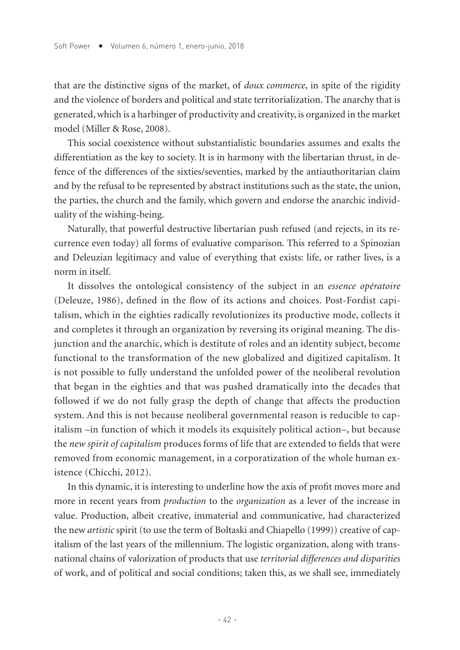that are the distinctive signs of the market, of *doux commerce*, in spite of the rigidity and the violence of borders and political and state territorialization. The anarchy that is generated, which is a harbinger of productivity and creativity, is organized in the market model (Miller & Rose, 2008).

This social coexistence without substantialistic boundaries assumes and exalts the differentiation as the key to society. It is in harmony with the libertarian thrust, in defence of the differences of the sixties/seventies, marked by the antiauthoritarian claim and by the refusal to be represented by abstract institutions such as the state, the union, the parties, the church and the family, which govern and endorse the anarchic individuality of the wishing-being.

Naturally, that powerful destructive libertarian push refused (and rejects, in its recurrence even today) all forms of evaluative comparison. This referred to a Spinozian and Deleuzian legitimacy and value of everything that exists: life, or rather lives, is a norm in itself.

It dissolves the ontological consistency of the subject in an *essence opératoire* (Deleuze, 1986), defined in the flow of its actions and choices. Post-Fordist capitalism, which in the eighties radically revolutionizes its productive mode, collects it and completes it through an organization by reversing its original meaning. The disjunction and the anarchic, which is destitute of roles and an identity subject, become functional to the transformation of the new globalized and digitized capitalism. It is not possible to fully understand the unfolded power of the neoliberal revolution that began in the eighties and that was pushed dramatically into the decades that followed if we do not fully grasp the depth of change that affects the production system. And this is not because neoliberal governmental reason is reducible to capitalism –in function of which it models its exquisitely political action–, but because the *new spirit of capitalism* produces forms of life that are extended to fields that were removed from economic management, in a corporatization of the whole human existence (Chicchi, 2012).

In this dynamic, it is interesting to underline how the axis of profit moves more and more in recent years from *production* to the *organization* as a lever of the increase in value. Production, albeit creative, immaterial and communicative, had characterized the new *artistic* spirit (to use the term of Boltaski and Chiapello (1999)) creative of capitalism of the last years of the millennium. The logistic organization, along with transnational chains of valorization of products that use *territorial differences and disparities* of work, and of political and social conditions; taken this, as we shall see, immediately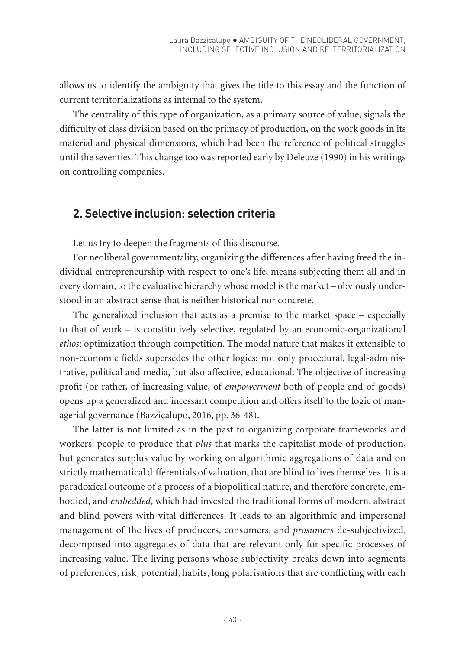allows us to identify the ambiguity that gives the title to this essay and the function of current territorializations as internal to the system.

The centrality of this type of organization, as a primary source of value, signals the difficulty of class division based on the primacy of production, on the work goods in its material and physical dimensions, which had been the reference of political struggles until the seventies. This change too was reported early by Deleuze (1990) in his writings on controlling companies.

## **2. Selective inclusion: selection criteria**

Let us try to deepen the fragments of this discourse.

For neoliberal governmentality, organizing the differences after having freed the individual entrepreneurship with respect to one's life, means subjecting them all and in every domain, to the evaluative hierarchy whose model is the market – obviously understood in an abstract sense that is neither historical nor concrete.

The generalized inclusion that acts as a premise to the market space – especially to that of work – is constitutively selective, regulated by an economic-organizational *ethos*: optimization through competition. The modal nature that makes it extensible to non-economic fields supersedes the other logics: not only procedural, legal-administrative, political and media, but also affective, educational. The objective of increasing profit (or rather, of increasing value, of *empowerment* both of people and of goods) opens up a generalized and incessant competition and offers itself to the logic of managerial governance (Bazzicalupo, 2016, pp. 36-48).

The latter is not limited as in the past to organizing corporate frameworks and workers' people to produce that *plus* that marks the capitalist mode of production, but generates surplus value by working on algorithmic aggregations of data and on strictly mathematical differentials of valuation, that are blind to lives themselves. It is a paradoxical outcome of a process of a biopolitical nature, and therefore concrete, embodied, and *embedded*, which had invested the traditional forms of modern, abstract and blind powers with vital differences. It leads to an algorithmic and impersonal management of the lives of producers, consumers, and *prosumers* de-subjectivized, decomposed into aggregates of data that are relevant only for specific processes of increasing value. The living persons whose subjectivity breaks down into segments of preferences, risk, potential, habits, long polarisations that are conflicting with each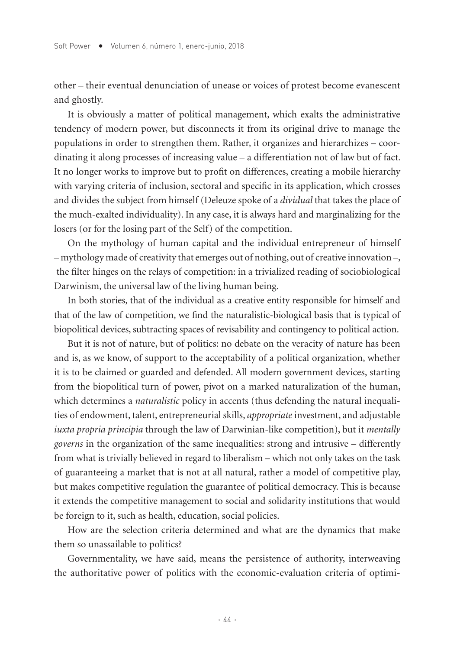other – their eventual denunciation of unease or voices of protest become evanescent and ghostly.

It is obviously a matter of political management, which exalts the administrative tendency of modern power, but disconnects it from its original drive to manage the populations in order to strengthen them. Rather, it organizes and hierarchizes – coordinating it along processes of increasing value – a differentiation not of law but of fact. It no longer works to improve but to profit on differences, creating a mobile hierarchy with varying criteria of inclusion, sectoral and specific in its application, which crosses and divides the subject from himself (Deleuze spoke of a *dividual* that takes the place of the much-exalted individuality). In any case, it is always hard and marginalizing for the losers (or for the losing part of the Self) of the competition.

On the mythology of human capital and the individual entrepreneur of himself – mythology made of creativity that emerges out of nothing, out of creative innovation –, the filter hinges on the relays of competition: in a trivialized reading of sociobiological Darwinism, the universal law of the living human being.

In both stories, that of the individual as a creative entity responsible for himself and that of the law of competition, we find the naturalistic-biological basis that is typical of biopolitical devices, subtracting spaces of revisability and contingency to political action.

But it is not of nature, but of politics: no debate on the veracity of nature has been and is, as we know, of support to the acceptability of a political organization, whether it is to be claimed or guarded and defended. All modern government devices, starting from the biopolitical turn of power, pivot on a marked naturalization of the human, which determines a *naturalistic* policy in accents (thus defending the natural inequalities of endowment, talent, entrepreneurial skills, *appropriate* investment, and adjustable *iuxta propria principia* through the law of Darwinian-like competition), but it *mentally governs* in the organization of the same inequalities: strong and intrusive – differently from what is trivially believed in regard to liberalism – which not only takes on the task of guaranteeing a market that is not at all natural, rather a model of competitive play, but makes competitive regulation the guarantee of political democracy. This is because it extends the competitive management to social and solidarity institutions that would be foreign to it, such as health, education, social policies.

How are the selection criteria determined and what are the dynamics that make them so unassailable to politics?

Governmentality, we have said, means the persistence of authority, interweaving the authoritative power of politics with the economic-evaluation criteria of optimi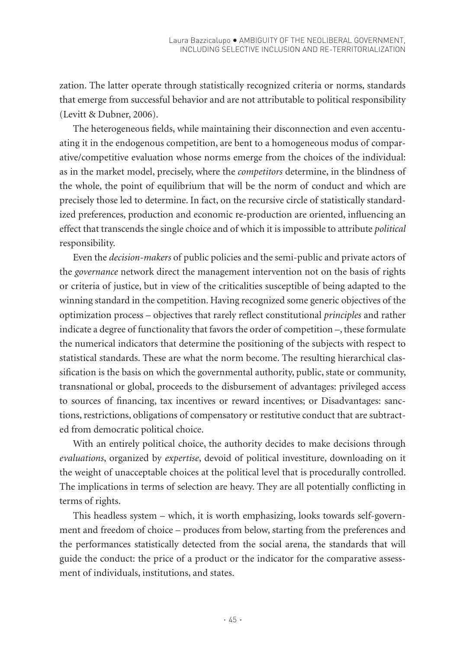zation. The latter operate through statistically recognized criteria or norms, standards that emerge from successful behavior and are not attributable to political responsibility (Levitt & Dubner, 2006).

The heterogeneous fields, while maintaining their disconnection and even accentuating it in the endogenous competition, are bent to a homogeneous modus of comparative/competitive evaluation whose norms emerge from the choices of the individual: as in the market model, precisely, where the *competitors* determine, in the blindness of the whole, the point of equilibrium that will be the norm of conduct and which are precisely those led to determine. In fact, on the recursive circle of statistically standardized preferences, production and economic re-production are oriented, influencing an effect that transcends the single choice and of which it is impossible to attribute *political* responsibility.

Even the *decision-makers* of public policies and the semi-public and private actors of the *governance* network direct the management intervention not on the basis of rights or criteria of justice, but in view of the criticalities susceptible of being adapted to the winning standard in the competition. Having recognized some generic objectives of the optimization process – objectives that rarely reflect constitutional *principles* and rather indicate a degree of functionality that favors the order of competition –, these formulate the numerical indicators that determine the positioning of the subjects with respect to statistical standards. These are what the norm become. The resulting hierarchical classification is the basis on which the governmental authority, public, state or community, transnational or global, proceeds to the disbursement of advantages: privileged access to sources of financing, tax incentives or reward incentives; or Disadvantages: sanctions, restrictions, obligations of compensatory or restitutive conduct that are subtracted from democratic political choice.

With an entirely political choice, the authority decides to make decisions through *evaluations*, organized by *expertise*, devoid of political investiture, downloading on it the weight of unacceptable choices at the political level that is procedurally controlled. The implications in terms of selection are heavy. They are all potentially conflicting in terms of rights.

This headless system – which, it is worth emphasizing, looks towards self-government and freedom of choice – produces from below, starting from the preferences and the performances statistically detected from the social arena, the standards that will guide the conduct: the price of a product or the indicator for the comparative assessment of individuals, institutions, and states.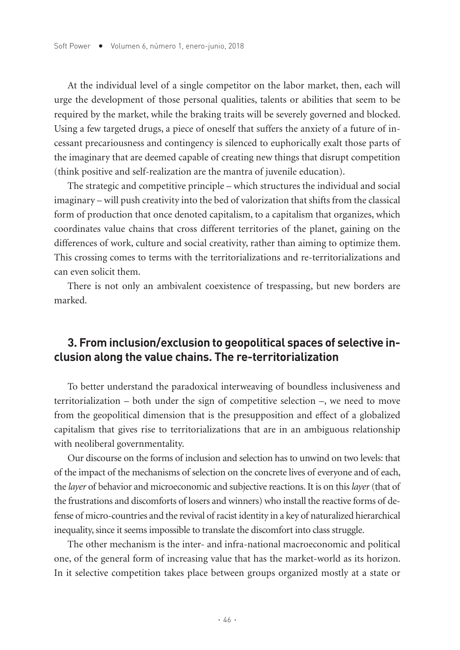At the individual level of a single competitor on the labor market, then, each will urge the development of those personal qualities, talents or abilities that seem to be required by the market, while the braking traits will be severely governed and blocked. Using a few targeted drugs, a piece of oneself that suffers the anxiety of a future of incessant precariousness and contingency is silenced to euphorically exalt those parts of the imaginary that are deemed capable of creating new things that disrupt competition (think positive and self-realization are the mantra of juvenile education).

The strategic and competitive principle – which structures the individual and social imaginary – will push creativity into the bed of valorization that shifts from the classical form of production that once denoted capitalism, to a capitalism that organizes, which coordinates value chains that cross different territories of the planet, gaining on the differences of work, culture and social creativity, rather than aiming to optimize them. This crossing comes to terms with the territorializations and re-territorializations and can even solicit them.

There is not only an ambivalent coexistence of trespassing, but new borders are marked.

# **3. From inclusion/exclusion to geopolitical spaces of selective inclusion along the value chains. The re-territorialization**

To better understand the paradoxical interweaving of boundless inclusiveness and territorialization – both under the sign of competitive selection –, we need to move from the geopolitical dimension that is the presupposition and effect of a globalized capitalism that gives rise to territorializations that are in an ambiguous relationship with neoliberal governmentality.

Our discourse on the forms of inclusion and selection has to unwind on two levels: that of the impact of the mechanisms of selection on the concrete lives of everyone and of each, the *layer* of behavior and microeconomic and subjective reactions. It is on this *layer* (that of the frustrations and discomforts of losers and winners) who install the reactive forms of defense of micro-countries and the revival of racist identity in a key of naturalized hierarchical inequality, since it seems impossible to translate the discomfort into class struggle.

The other mechanism is the inter- and infra-national macroeconomic and political one, of the general form of increasing value that has the market-world as its horizon. In it selective competition takes place between groups organized mostly at a state or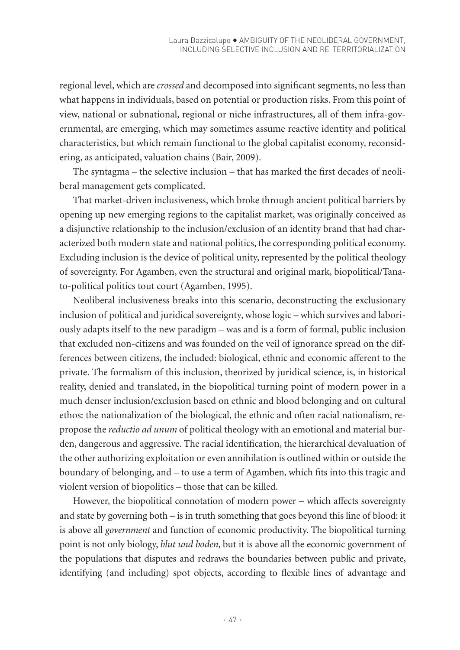regional level, which are *crossed* and decomposed into significant segments, no less than what happens in individuals, based on potential or production risks. From this point of view, national or subnational, regional or niche infrastructures, all of them infra-governmental, are emerging, which may sometimes assume reactive identity and political characteristics, but which remain functional to the global capitalist economy, reconsidering, as anticipated, valuation chains (Bair, 2009).

The syntagma – the selective inclusion – that has marked the first decades of neoliberal management gets complicated.

That market-driven inclusiveness, which broke through ancient political barriers by opening up new emerging regions to the capitalist market, was originally conceived as a disjunctive relationship to the inclusion/exclusion of an identity brand that had characterized both modern state and national politics, the corresponding political economy. Excluding inclusion is the device of political unity, represented by the political theology of sovereignty. For Agamben, even the structural and original mark, biopolitical/Tanato-political politics tout court (Agamben, 1995).

Neoliberal inclusiveness breaks into this scenario, deconstructing the exclusionary inclusion of political and juridical sovereignty, whose logic – which survives and laboriously adapts itself to the new paradigm – was and is a form of formal, public inclusion that excluded non-citizens and was founded on the veil of ignorance spread on the differences between citizens, the included: biological, ethnic and economic afferent to the private. The formalism of this inclusion, theorized by juridical science, is, in historical reality, denied and translated, in the biopolitical turning point of modern power in a much denser inclusion/exclusion based on ethnic and blood belonging and on cultural ethos: the nationalization of the biological, the ethnic and often racial nationalism, repropose the *reductio ad unum* of political theology with an emotional and material burden, dangerous and aggressive. The racial identification, the hierarchical devaluation of the other authorizing exploitation or even annihilation is outlined within or outside the boundary of belonging, and – to use a term of Agamben, which fits into this tragic and violent version of biopolitics – those that can be killed.

However, the biopolitical connotation of modern power – which affects sovereignty and state by governing both – is in truth something that goes beyond this line of blood: it is above all *government* and function of economic productivity. The biopolitical turning point is not only biology, *blut und boden*, but it is above all the economic government of the populations that disputes and redraws the boundaries between public and private, identifying (and including) spot objects, according to flexible lines of advantage and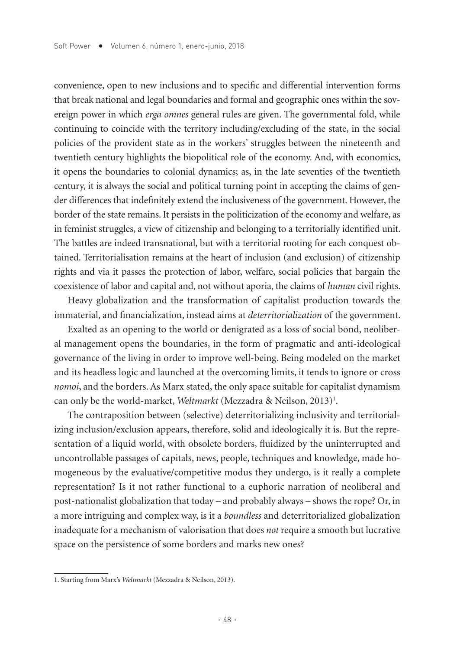convenience, open to new inclusions and to specific and differential intervention forms that break national and legal boundaries and formal and geographic ones within the sovereign power in which *erga omnes* general rules are given. The governmental fold, while continuing to coincide with the territory including/excluding of the state, in the social policies of the provident state as in the workers' struggles between the nineteenth and twentieth century highlights the biopolitical role of the economy. And, with economics, it opens the boundaries to colonial dynamics; as, in the late seventies of the twentieth century, it is always the social and political turning point in accepting the claims of gender differences that indefinitely extend the inclusiveness of the government. However, the border of the state remains. It persists in the politicization of the economy and welfare, as in feminist struggles, a view of citizenship and belonging to a territorially identified unit. The battles are indeed transnational, but with a territorial rooting for each conquest obtained. Territorialisation remains at the heart of inclusion (and exclusion) of citizenship rights and via it passes the protection of labor, welfare, social policies that bargain the coexistence of labor and capital and, not without aporia, the claims of *human* civil rights.

Heavy globalization and the transformation of capitalist production towards the immaterial, and financialization, instead aims at *deterritorialization* of the government.

Exalted as an opening to the world or denigrated as a loss of social bond, neoliberal management opens the boundaries, in the form of pragmatic and anti-ideological governance of the living in order to improve well-being. Being modeled on the market and its headless logic and launched at the overcoming limits, it tends to ignore or cross *nomoi*, and the borders. As Marx stated, the only space suitable for capitalist dynamism can only be the world-market, *Weltmarkt* (Mezzadra & Neilson, 2013)<sup>1</sup>.

The contraposition between (selective) deterritorializing inclusivity and territorializing inclusion/exclusion appears, therefore, solid and ideologically it is. But the representation of a liquid world, with obsolete borders, fluidized by the uninterrupted and uncontrollable passages of capitals, news, people, techniques and knowledge, made homogeneous by the evaluative/competitive modus they undergo, is it really a complete representation? Is it not rather functional to a euphoric narration of neoliberal and post-nationalist globalization that today – and probably always – shows the rope? Or, in a more intriguing and complex way, is it a *boundless* and deterritorialized globalization inadequate for a mechanism of valorisation that does *not* require a smooth but lucrative space on the persistence of some borders and marks new ones?

<sup>1.</sup> Starting from Marx's *Weltmarkt* (Mezzadra & Neilson, 2013).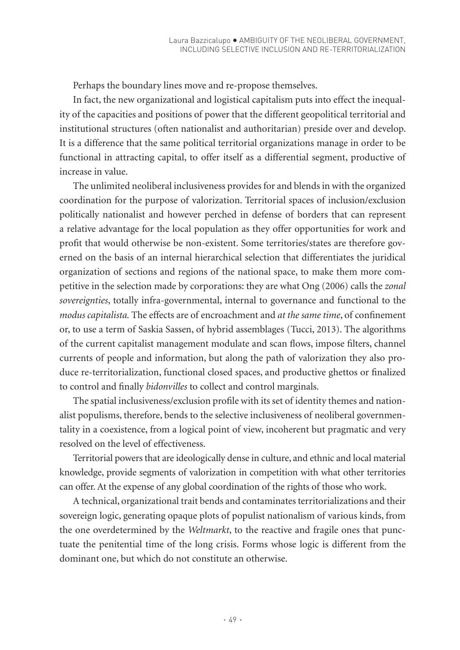Perhaps the boundary lines move and re-propose themselves.

In fact, the new organizational and logistical capitalism puts into effect the inequality of the capacities and positions of power that the different geopolitical territorial and institutional structures (often nationalist and authoritarian) preside over and develop. It is a difference that the same political territorial organizations manage in order to be functional in attracting capital, to offer itself as a differential segment, productive of increase in value.

The unlimited neoliberal inclusiveness provides for and blends in with the organized coordination for the purpose of valorization. Territorial spaces of inclusion/exclusion politically nationalist and however perched in defense of borders that can represent a relative advantage for the local population as they offer opportunities for work and profit that would otherwise be non-existent. Some territories/states are therefore governed on the basis of an internal hierarchical selection that differentiates the juridical organization of sections and regions of the national space, to make them more competitive in the selection made by corporations: they are what Ong (2006) calls the *zonal sovereignties*, totally infra-governmental, internal to governance and functional to the *modus capitalista.* The effects are of encroachment and *at the same time*, of confinement or, to use a term of Saskia Sassen, of hybrid assemblages (Tucci, 2013). The algorithms of the current capitalist management modulate and scan flows, impose filters, channel currents of people and information, but along the path of valorization they also produce re-territorialization, functional closed spaces, and productive ghettos or finalized to control and finally *bidonvilles* to collect and control marginals.

The spatial inclusiveness/exclusion profile with its set of identity themes and nationalist populisms, therefore, bends to the selective inclusiveness of neoliberal governmentality in a coexistence, from a logical point of view, incoherent but pragmatic and very resolved on the level of effectiveness.

Territorial powers that are ideologically dense in culture, and ethnic and local material knowledge, provide segments of valorization in competition with what other territories can offer. At the expense of any global coordination of the rights of those who work.

A technical, organizational trait bends and contaminates territorializations and their sovereign logic, generating opaque plots of populist nationalism of various kinds, from the one overdetermined by the *Weltmarkt*, to the reactive and fragile ones that punctuate the penitential time of the long crisis. Forms whose logic is different from the dominant one, but which do not constitute an otherwise.